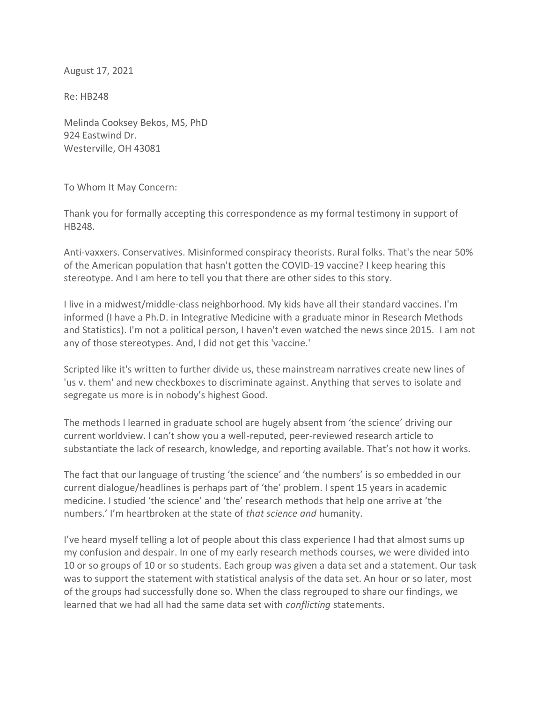August 17, 2021

Re: HB248

Melinda Cooksey Bekos, MS, PhD 924 Eastwind Dr. Westerville, OH 43081

To Whom It May Concern:

Thank you for formally accepting this correspondence as my formal testimony in support of HB248.

Anti-vaxxers. Conservatives. Misinformed conspiracy theorists. Rural folks. That's the near 50% of the American population that hasn't gotten the COVID-19 vaccine? I keep hearing this stereotype. And I am here to tell you that there are other sides to this story.

I live in a midwest/middle-class neighborhood. My kids have all their standard vaccines. I'm informed (I have a Ph.D. in Integrative Medicine with a graduate minor in Research Methods and Statistics). I'm not a political person, I haven't even watched the news since 2015. I am not any of those stereotypes. And, I did not get this 'vaccine.'

Scripted like it's written to further divide us, these mainstream narratives create new lines of 'us v. them' and new checkboxes to discriminate against. Anything that serves to isolate and segregate us more is in nobody's highest Good.

The methods I learned in graduate school are hugely absent from 'the science' driving our current worldview. I can't show you a well-reputed, peer-reviewed research article to substantiate the lack of research, knowledge, and reporting available. That's not how it works.

The fact that our language of trusting 'the science' and 'the numbers' is so embedded in our current dialogue/headlines is perhaps part of 'the' problem. I spent 15 years in academic medicine. I studied 'the science' and 'the' research methods that help one arrive at 'the numbers.' I'm heartbroken at the state of *that science and* humanity.

I've heard myself telling a lot of people about this class experience I had that almost sums up my confusion and despair. In one of my early research methods courses, we were divided into 10 or so groups of 10 or so students. Each group was given a data set and a statement. Our task was to support the statement with statistical analysis of the data set. An hour or so later, most of the groups had successfully done so. When the class regrouped to share our findings, we learned that we had all had the same data set with *conflicting* statements.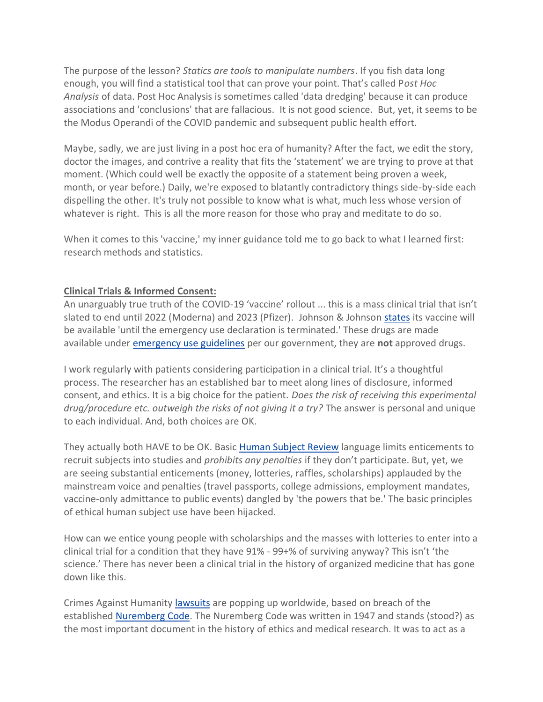The purpose of the lesson? *Statics are tools to manipulate numbers*. If you fish data long enough, you will find a statistical tool that can prove your point. That's called P*ost Hoc Analysis* of data. Post Hoc Analysis is sometimes called 'data dredging' because it can produce associations and 'conclusions' that are fallacious. It is not good science. But, yet, it seems to be the Modus Operandi of the COVID pandemic and subsequent public health effort.

Maybe, sadly, we are just living in a post hoc era of humanity? After the fact, we edit the story, doctor the images, and contrive a reality that fits the 'statement' we are trying to prove at that moment. (Which could well be exactly the opposite of a statement being proven a week, month, or year before.) Daily, we're exposed to blatantly contradictory things side-by-side each dispelling the other. It's truly not possible to know what is what, much less whose version of whatever is right. This is all the more reason for those who pray and meditate to do so.

When it comes to this 'vaccine,' my inner guidance told me to go back to what I learned first: research methods and statistics.

## **Clinical Trials & Informed Consent:**

An unarguably true truth of the COVID-19 'vaccine' rollout ... this is a mass clinical trial that isn't slated to end until 2022 (Moderna) and 2023 (Pfizer). Johnson & Johnson [states](https://www.janssencovid19vaccine.com/) its vaccine will be available 'until the emergency use declaration is terminated.' These drugs are made available under [emergency use guidelines](https://www.fda.gov/vaccines-blood-biologics/vaccines/emergency-use-authorization-vaccines-explained) per our government, they are **not** approved drugs.

I work regularly with patients considering participation in a clinical trial. It's a thoughtful process. The researcher has an established bar to meet along lines of disclosure, informed consent, and ethics. It is a big choice for the patient. *Does the risk of receiving this experimental drug/procedure etc. outweigh the risks of not giving it a try?* The answer is personal and unique to each individual. And, both choices are OK.

They actually both HAVE to be OK. Basic [Human Subject Review](https://govinfo.library.unt.edu/nbac/human/oversumm.html) language limits enticements to recruit subjects into studies and *prohibits any penalties* if they don't participate. But, yet, we are seeing substantial enticements (money, lotteries, raffles, scholarships) applauded by the mainstream voice and penalties (travel passports, college admissions, employment mandates, vaccine-only admittance to public events) dangled by 'the powers that be.' The basic principles of ethical human subject use have been hijacked.

How can we entice young people with scholarships and the masses with lotteries to enter into a clinical trial for a condition that they have 91% - 99+% of surviving anyway? This isn't 'the science.' There has never been a clinical trial in the history of organized medicine that has gone down like this.

Crimes Against Humanity [lawsuits](https://nojabforme.info/) are popping up worldwide, based on breach of the established [Nuremberg Code.](https://www.nejm.org/doi/full/10.1056/nejm199711133372006#.YGiFVSfgad4.twitter) The Nuremberg Code was written in 1947 and stands (stood?) as the most important document in the history of ethics and medical research. It was to act as a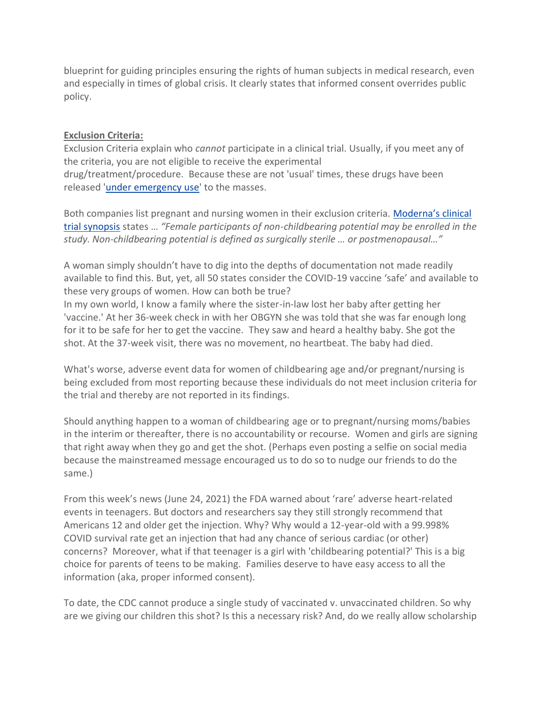blueprint for guiding principles ensuring the rights of human subjects in medical research, even and especially in times of global crisis. It clearly states that informed consent overrides public policy.

### **Exclusion Criteria:**

Exclusion Criteria explain who *cannot* participate in a clinical trial. Usually, if you meet any of the criteria, you are not eligible to receive the experimental drug/treatment/procedure. Because these are not 'usual' times, these drugs have been released ['under emergency use'](https://www.fda.gov/vaccines-blood-biologics/vaccines/emergency-use-authorization-vaccines-explained) to the masses.

Both companies list pregnant and nursing women in their exclusion criteria. [Moderna's clinical](https://clinicaltrials.gov/ct2/show/NCT04470427)  [trial synopsis](https://clinicaltrials.gov/ct2/show/NCT04470427) states … *"Female participants of non-childbearing potential may be enrolled in the study. Non-childbearing potential is defined as surgically sterile … or postmenopausal…"*

A woman simply shouldn't have to dig into the depths of documentation not made readily available to find this. But, yet, all 50 states consider the COVID-19 vaccine 'safe' and available to these very groups of women. How can both be true?

In my own world, I know a family where the sister-in-law lost her baby after getting her 'vaccine.' At her 36-week check in with her OBGYN she was told that she was far enough long for it to be safe for her to get the vaccine. They saw and heard a healthy baby. She got the shot. At the 37-week visit, there was no movement, no heartbeat. The baby had died.

What's worse, adverse event data for women of childbearing age and/or pregnant/nursing is being excluded from most reporting because these individuals do not meet inclusion criteria for the trial and thereby are not reported in its findings.

Should anything happen to a woman of childbearing age or to pregnant/nursing moms/babies in the interim or thereafter, there is no accountability or recourse. Women and girls are signing that right away when they go and get the shot. (Perhaps even posting a selfie on social media because the mainstreamed message encouraged us to do so to nudge our friends to do the same.)

From this week's news (June 24, 2021) the FDA warned about 'rare' adverse heart-related events in teenagers. But doctors and researchers say they still strongly recommend that Americans 12 and older get the injection. Why? Why would a 12-year-old with a 99.998% COVID survival rate get an injection that had any chance of serious cardiac (or other) concerns? Moreover, what if that teenager is a girl with 'childbearing potential?' This is a big choice for parents of teens to be making. Families deserve to have easy access to all the information (aka, proper informed consent).

To date, the CDC cannot produce a single study of vaccinated v. unvaccinated children. So why are we giving our children this shot? Is this a necessary risk? And, do we really allow scholarship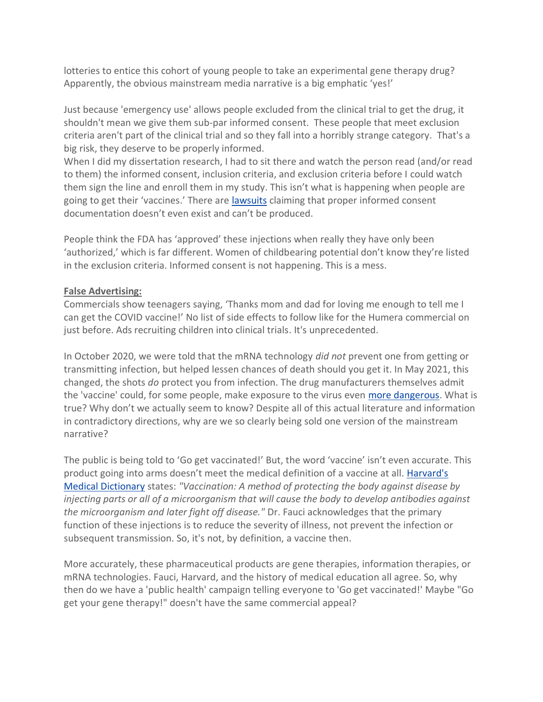lotteries to entice this cohort of young people to take an experimental gene therapy drug? Apparently, the obvious mainstream media narrative is a big emphatic 'yes!'

Just because 'emergency use' allows people excluded from the clinical trial to get the drug, it shouldn't mean we give them sub-par informed consent. These people that meet exclusion criteria aren't part of the clinical trial and so they fall into a horribly strange category. That's a big risk, they deserve to be properly informed.

When I did my dissertation research, I had to sit there and watch the person read (and/or read to them) the informed consent, inclusion criteria, and exclusion criteria before I could watch them sign the line and enroll them in my study. This isn't what is happening when people are going to get their 'vaccines.' There are [lawsuits](https://jamanetwork.com/journals/jamanetworkopen/fullarticle/2779253) claiming that proper informed consent documentation doesn't even exist and can't be produced.

People think the FDA has 'approved' these injections when really they have only been 'authorized,' which is far different. Women of childbearing potential don't know they're listed in the exclusion criteria. Informed consent is not happening. This is a mess.

## **False Advertising:**

Commercials show teenagers saying, 'Thanks mom and dad for loving me enough to tell me I can get the COVID vaccine!' No list of side effects to follow like for the Humera commercial on just before. Ads recruiting children into clinical trials. It's unprecedented.

In October 2020, we were told that the mRNA technology *did not* prevent one from getting or transmitting infection, but helped lessen chances of death should you get it. In May 2021, this changed, the shots *do* protect you from infection. The drug manufacturers themselves admit the 'vaccine' could, for some people, make exposure to the virus even [more dangerous.](https://u.pcloud.link/publink/show?code=XZRunTXZUyqylKx9CJzN7JiAf4CldLrf1Vqy#returl=https%3A//u.pcloud.link/publink/show%3Fcode%3DXZRunTXZUyqylKx9CJzN7JiAf4CldLrf1Vqy&page=login) What is true? Why don't we actually seem to know? Despite all of this actual literature and information in contradictory directions, why are we so clearly being sold one version of the mainstream narrative?

The public is being told to 'Go get vaccinated!' But, the word 'vaccine' isn't even accurate. This product going into arms doesn't meet the medical definition of a vaccine at all. [Harvard's](https://www.health.harvard.edu/q-through-z#V-terms)  [Medical Dictionary](https://www.health.harvard.edu/q-through-z#V-terms) states: *"Vaccination: A method of protecting the body against disease by injecting parts or all of a microorganism that will cause the body to develop antibodies against the microorganism and later fight off disease."* Dr. Fauci acknowledges that the primary function of these injections is to reduce the severity of illness, not prevent the infection or subsequent transmission. So, it's not, by definition, a vaccine then.

More accurately, these pharmaceutical products are gene therapies, information therapies, or mRNA technologies. Fauci, Harvard, and the history of medical education all agree. So, why then do we have a 'public health' campaign telling everyone to 'Go get vaccinated!' Maybe "Go get your gene therapy!" doesn't have the same commercial appeal?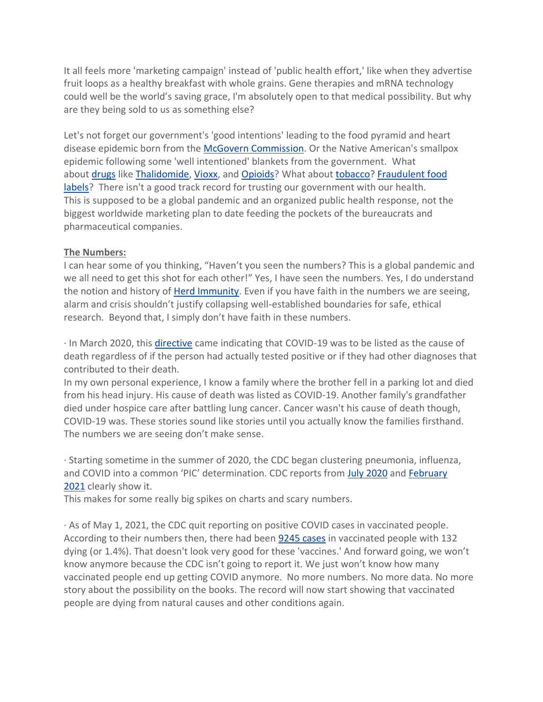It all feels more 'marketing campaign' instead of 'public health effort,' like when they advertise fruit loops as a healthy breakfast with whole grains. Gene therapies and mRNA technology could well be the world's saving grace, I'm absolutely open to that medical possibility. But why are they being sold to us as something else?

Let's not forget our government's 'good intentions' leading to the food pyramid and heart disease epidemic born from the [McGovern Commission.](https://www.ncbi.nlm.nih.gov/pmc/articles/PMC3910043/) Or the Native American's smallpox epidemic following some 'well intentioned' blankets from the government. What about [drugs](https://pubmed.ncbi.nlm.nih.gov/25355584/) like [Thalidomide,](https://www.sciencemuseum.org.uk/objects-and-stories/medicine/thalidomide) [Vioxx,](https://www.npr.org/2007/11/10/5470430/timeline-the-rise-and-fall-of-vioxx) and [Opioids?](https://journalofethics.ama-assn.org/article/how-fda-failures-contributed-opioid-crisis/2020-08) What about [tobacco?](https://www.ncbi.nlm.nih.gov/pmc/articles/PMC3490543/) [Fraudulent food](https://fas.org/sgp/crs/misc/R43358.pdf)  [labels?](https://fas.org/sgp/crs/misc/R43358.pdf) There isn't a good track record for trusting our government with our health. This is supposed to be a global pandemic and an organized public health response, not the biggest worldwide marketing plan to date feeding the pockets of the bureaucrats and pharmaceutical companies.

## **The Numbers:**

I can hear some of you thinking, "Haven't you seen the numbers? This is a global pandemic and we all need to get this shot for each other!" Yes, I have seen the numbers. Yes, I do understand the notion and history of [Herd Immunity.](https://academic.oup.com/epirev/article-abstract/15/2/265/440430?redirectedFrom=PDF) Even if you have faith in the numbers we are seeing, alarm and crisis shouldn't justify collapsing well-established boundaries for safe, ethical research. Beyond that, I simply don't have faith in these numbers.

· In March 2020, this [directive](https://www.cdc.gov/nchs/data/nvss/coronavirus/Alert-2-New-ICD-code-introduced-for-COVID-19-deaths.pdf) came indicating that COVID-19 was to be listed as the cause of death regardless of if the person had actually tested positive or if they had other diagnoses that contributed to their death.

In my own personal experience, I know a family where the brother fell in a parking lot and died from his head injury. His cause of death was listed as COVID-19. Another family's grandfather died under hospice care after battling lung cancer. Cancer wasn't his cause of death though, COVID-19 was. These stories sound like stories until you actually know the families firsthand. The numbers we are seeing don't make sense.

· Starting sometime in the summer of 2020, the CDC began clustering pneumonia, influenza, and COVID into a common 'PIC' determination. CDC reports from [July 2020](https://u.pcloud.link/publink/show?code=XZLMeTXZCFGFb2aRcuzop9Mr6DYgUkzSnoGV) and [February](https://u.pcloud.link/publink/show?code=XZOPeTXZUDG916CMxSHcnD7f7t4t90GOybm7)  [2021](https://u.pcloud.link/publink/show?code=XZOPeTXZUDG916CMxSHcnD7f7t4t90GOybm7) clearly show it.

This makes for some really big spikes on charts and scary numbers.

· As of May 1, 2021, the CDC quit reporting on positive COVID cases in vaccinated people. According to their numbers then, there had been [9245 cases](https://u.pcloud.link/publink/show?code=XZKv4nXZsQtC05iTWCfU6P49j2y0P7BhPQ3X) in vaccinated people with 132 dying (or 1.4%). That doesn't look very good for these 'vaccines.' And forward going, we won't know anymore because the CDC isn't going to report it. We just won't know how many vaccinated people end up getting COVID anymore. No more numbers. No more data. No more story about the possibility on the books. The record will now start showing that vaccinated people are dying from natural causes and other conditions again.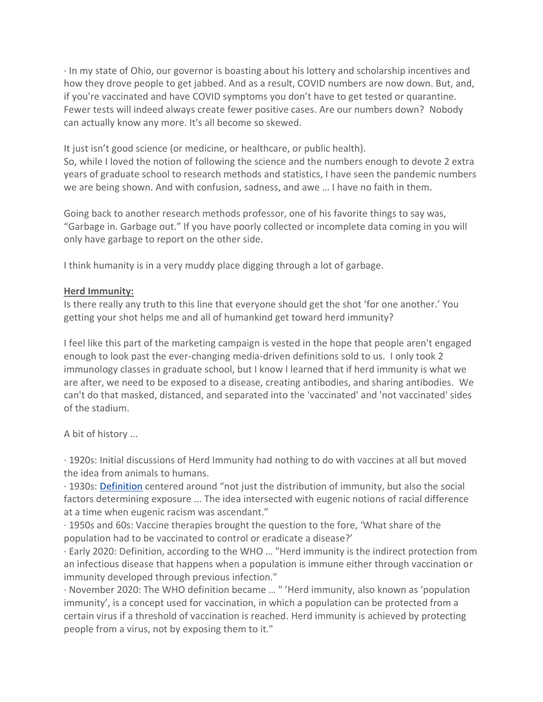· In my state of Ohio, our governor is boasting about his lottery and scholarship incentives and how they drove people to get jabbed. And as a result, COVID numbers are now down. But, and, if you're vaccinated and have COVID symptoms you don't have to get tested or quarantine. Fewer tests will indeed always create fewer positive cases. Are our numbers down? Nobody can actually know any more. It's all become so skewed.

It just isn't good science (or medicine, or healthcare, or public health).

So, while I loved the notion of following the science and the numbers enough to devote 2 extra years of graduate school to research methods and statistics, I have seen the pandemic numbers we are being shown. And with confusion, sadness, and awe … I have no faith in them.

Going back to another research methods professor, one of his favorite things to say was, "Garbage in. Garbage out." If you have poorly collected or incomplete data coming in you will only have garbage to report on the other side.

I think humanity is in a very muddy place digging through a lot of garbage.

## **Herd Immunity:**

Is there really any truth to this line that everyone should get the shot 'for one another.' You getting your shot helps me and all of humankind get toward herd immunity?

I feel like this part of the marketing campaign is vested in the hope that people aren't engaged enough to look past the ever-changing media-driven definitions sold to us. I only took 2 immunology classes in graduate school, but I know I learned that if herd immunity is what we are after, we need to be exposed to a disease, creating antibodies, and sharing antibodies. We can't do that masked, distanced, and separated into the 'vaccinated' and 'not vaccinated' sides of the stadium.

A bit of history ...

· 1920s: Initial discussions of Herd Immunity had nothing to do with vaccines at all but moved the idea from animals to humans.

· 1930s: [Definition](https://thelancet.com/journals/lancet/article/PIIS0140-67362031924-3/fulltext) centered around "not just the distribution of immunity, but also the social factors determining exposure ... The idea intersected with eugenic notions of racial difference at a time when eugenic racism was ascendant."

· 1950s and 60s: Vaccine therapies brought the question to the fore, 'What share of the population had to be vaccinated to control or eradicate a disease?'

· Early 2020: Definition, according to the WHO … "Herd immunity is the indirect protection from an infectious disease that happens when a population is immune either through vaccination or immunity developed through previous infection."

· November 2020: The WHO definition became … " 'Herd immunity, also known as 'population immunity', is a concept used for vaccination, in which a population can be protected from a certain virus if a threshold of vaccination is reached. Herd immunity is achieved by protecting people from a virus, not by exposing them to it."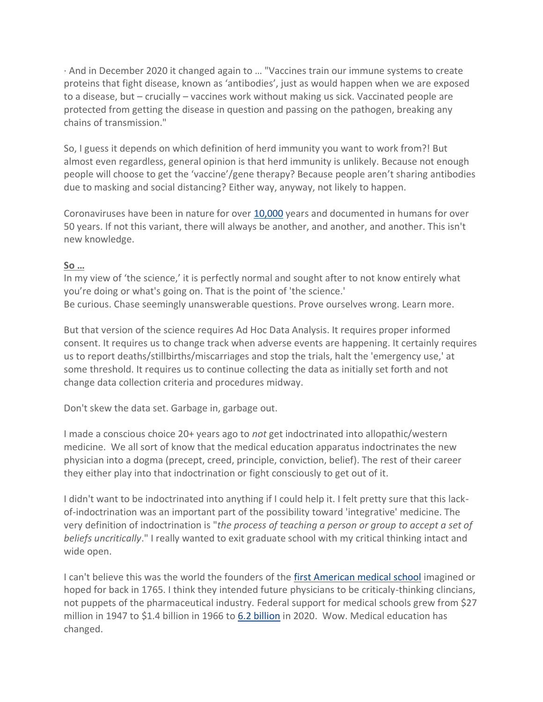· And in December 2020 it changed again to … "Vaccines train our immune systems to create proteins that fight disease, known as 'antibodies', just as would happen when we are exposed to a disease, but – crucially – vaccines work without making us sick. Vaccinated people are protected from getting the disease in question and passing on the pathogen, breaking any chains of transmission."

So, I guess it depends on which definition of herd immunity you want to work from?! But almost even regardless, general opinion is that herd immunity is unlikely. Because not enough people will choose to get the 'vaccine'/gene therapy? Because people aren't sharing antibodies due to masking and social distancing? Either way, anyway, not likely to happen.

Coronaviruses have been in nature for over [10,000](https://www.ncbi.nlm.nih.gov/pmc/articles/PMC3676139/#:~:text=Coronaviruses%20are%20found%20in%20a,around%2010000%20years%20ago.) years and documented in humans for over 50 years. If not this variant, there will always be another, and another, and another. This isn't new knowledge.

# **So …**

In my view of 'the science,' it is perfectly normal and sought after to not know entirely what you're doing or what's going on. That is the point of 'the science.' Be curious. Chase seemingly unanswerable questions. Prove ourselves wrong. Learn more.

But that version of the science requires Ad Hoc Data Analysis. It requires proper informed consent. It requires us to change track when adverse events are happening. It certainly requires us to report deaths/stillbirths/miscarriages and stop the trials, halt the 'emergency use,' at some threshold. It requires us to continue collecting the data as initially set forth and not change data collection criteria and procedures midway.

Don't skew the data set. Garbage in, garbage out.

I made a conscious choice 20+ years ago to *not* get indoctrinated into allopathic/western medicine. We all sort of know that the medical education apparatus indoctrinates the new physician into a dogma (precept, creed, principle, conviction, belief). The rest of their career they either play into that indoctrination or fight consciously to get out of it.

I didn't want to be indoctrinated into anything if I could help it. I felt pretty sure that this lackof-indoctrination was an important part of the possibility toward 'integrative' medicine. The very definition of indoctrination is "*the process of teaching a person or group to accept a set of beliefs uncritically*." I really wanted to exit graduate school with my critical thinking intact and wide open.

I can't believe this was the world the founders of the [first American medical school](https://www.nlm.nih.gov/hmd/pdf/200years.pdf) imagined or hoped for back in 1765. I think they intended future physicians to be criticaly-thinking clincians, not puppets of the pharmaceutical industry. Federal support for medical schools grew from \$27 million in 1947 to \$1.4 billion in 1966 to [6.2 billion](https://www.aamc.org/data-reports/faculty-institutions/report/us-medical-school-revenues) in 2020. Wow. Medical education has changed.